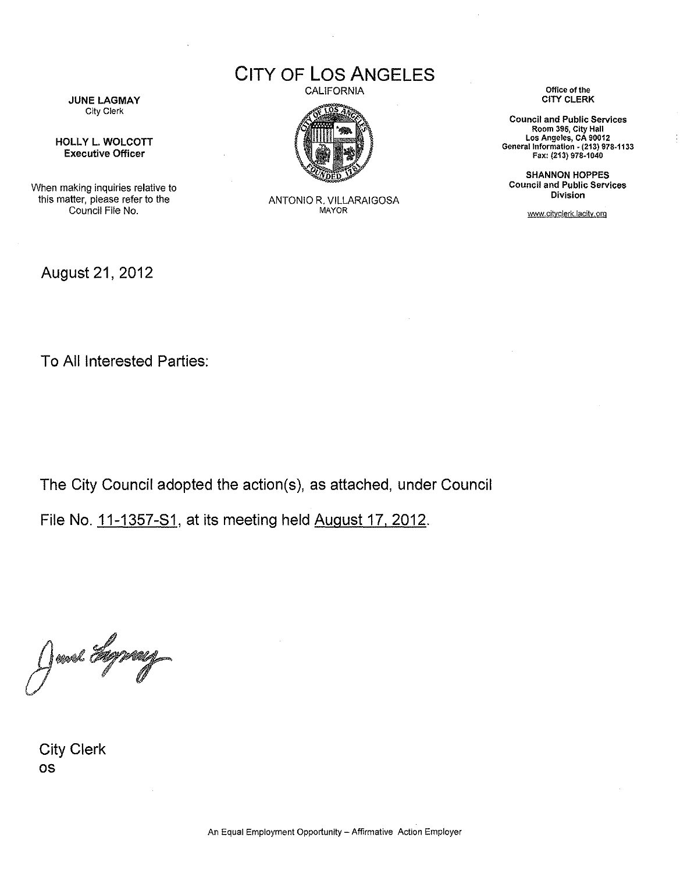JUNE LAGMAY City Clerk

HOLLY L. WOLCOTT Executive Officer

When making inquiries relative to this matter, please refer to the Council File No.

August 21,2012

**CITY OF LOS ANGELES** 

CALIFORNIA



ANTONIO R. VILLARAIGOSA MAYOR

**Office of the**  CITY CLERK

**Council and Public Services Room 395, City Hall Los Angeles, CA 90012 General Information - (213) 978-1133**  Fax: (213) 978-1040

SHANNON HOPPES **Council and Public Services Division** 

www.cltyclerk.!acity.org

To All Interested Parties:

The City Council adopted the action(s), as attached, under Council

File No. 11-1357-81, at its meeting held August 17,2012.

June Ly

City Clerk OS